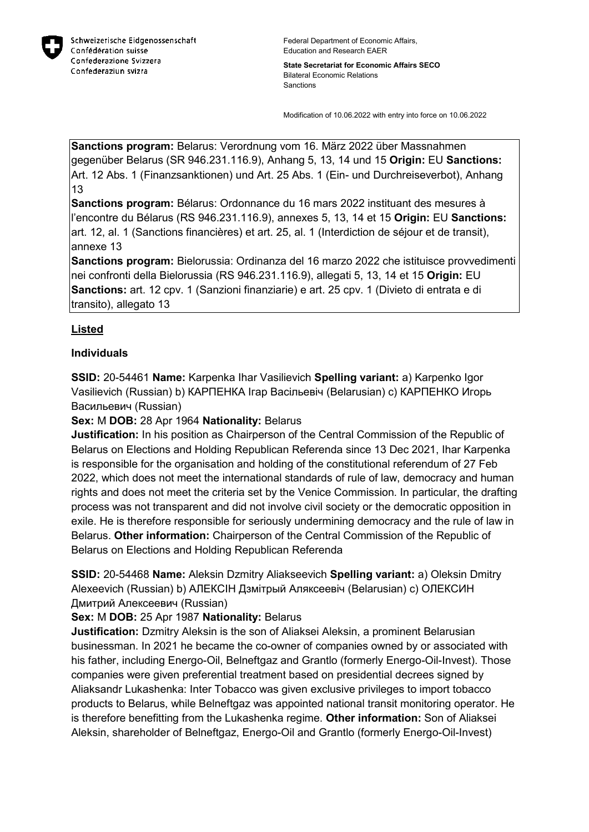

**State Secretariat for Economic Affairs SECO** Bilateral Economic Relations Sanctions

Modification of 10.06.2022 with entry into force on 10.06.2022

**Sanctions program:** Belarus: Verordnung vom 16. März 2022 über Massnahmen gegenüber Belarus (SR 946.231.116.9), Anhang 5, 13, 14 und 15 **Origin:** EU **Sanctions:** Art. 12 Abs. 1 (Finanzsanktionen) und Art. 25 Abs. 1 (Ein- und Durchreiseverbot), Anhang 13

**Sanctions program:** Bélarus: Ordonnance du 16 mars 2022 instituant des mesures à l'encontre du Bélarus (RS 946.231.116.9), annexes 5, 13, 14 et 15 **Origin:** EU **Sanctions:** art. 12, al. 1 (Sanctions financières) et art. 25, al. 1 (Interdiction de séjour et de transit), annexe 13

**Sanctions program:** Bielorussia: Ordinanza del 16 marzo 2022 che istituisce provvedimenti nei confronti della Bielorussia (RS 946.231.116.9), allegati 5, 13, 14 et 15 **Origin:** EU **Sanctions:** art. 12 cpv. 1 (Sanzioni finanziarie) e art. 25 cpv. 1 (Divieto di entrata e di transito), allegato 13

# **Listed**

#### **Individuals**

**SSID:** 20-54461 **Name:** Karpenka Ihar Vasilievich **Spelling variant:** a) Karpenko Igor Vasilievich (Russian) b) КАРПЕНКА Iгар Васiльевiч (Belarusian) c) КАРПЕНКО Игорь Васильевич (Russian)

## **Sex:** M **DOB:** 28 Apr 1964 **Nationality:** Belarus

**Justification:** In his position as Chairperson of the Central Commission of the Republic of Belarus on Elections and Holding Republican Referenda since 13 Dec 2021, Ihar Karpenka is responsible for the organisation and holding of the constitutional referendum of 27 Feb 2022, which does not meet the international standards of rule of law, democracy and human rights and does not meet the criteria set by the Venice Commission. In particular, the drafting process was not transparent and did not involve civil society or the democratic opposition in exile. He is therefore responsible for seriously undermining democracy and the rule of law in Belarus. **Other information:** Chairperson of the Central Commission of the Republic of Belarus on Elections and Holding Republican Referenda

**SSID:** 20-54468 **Name:** Aleksin Dzmitry Aliakseevich **Spelling variant:** a) Oleksin Dmitry Alexeevich (Russian) b) АЛЕКСIН Дзмiтрый Аляксеевiч (Belarusian) c) ОЛЕКСИН Дмитрий Алексеевич (Russian)

**Sex:** M **DOB:** 25 Apr 1987 **Nationality:** Belarus

**Justification:** Dzmitry Aleksin is the son of Aliaksei Aleksin, a prominent Belarusian businessman. In 2021 he became the co-owner of companies owned by or associated with his father, including Energo-Oil, Belneftgaz and Grantlo (formerly Energo-Oil-Invest). Those companies were given preferential treatment based on presidential decrees signed by Aliaksandr Lukashenka: Inter Tobacco was given exclusive privileges to import tobacco products to Belarus, while Belneftgaz was appointed national transit monitoring operator. He is therefore benefitting from the Lukashenka regime. **Other information:** Son of Aliaksei Aleksin, shareholder of Belneftgaz, Energo-Oil and Grantlo (formerly Energo-Oil-Invest)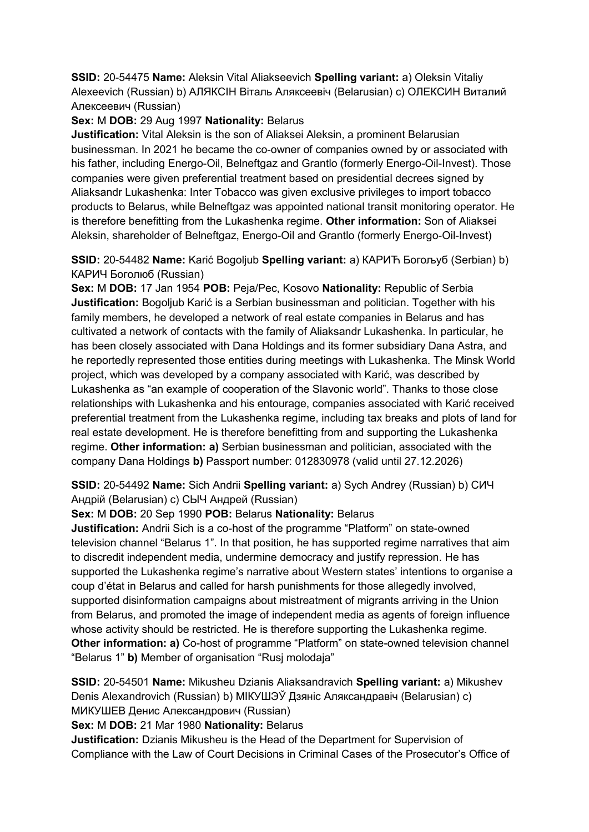**SSID:** 20-54475 **Name:** Aleksin Vital Aliakseevich **Spelling variant:** a) Oleksin Vitaliy Alexeevich (Russian) b) АЛЯКСIН Вiталь Аляксеевiч (Belarusian) c) ОЛЕКСИН Виталий Алексеевич (Russian)

## **Sex:** M **DOB:** 29 Aug 1997 **Nationality:** Belarus

**Justification:** Vital Aleksin is the son of Aliaksei Aleksin, a prominent Belarusian businessman. In 2021 he became the co-owner of companies owned by or associated with his father, including Energo-Oil, Belneftgaz and Grantlo (formerly Energo-Oil-Invest). Those companies were given preferential treatment based on presidential decrees signed by Aliaksandr Lukashenka: Inter Tobacco was given exclusive privileges to import tobacco products to Belarus, while Belneftgaz was appointed national transit monitoring operator. He is therefore benefitting from the Lukashenka regime. **Other information:** Son of Aliaksei Aleksin, shareholder of Belneftgaz, Energo-Oil and Grantlo (formerly Energo-Oil-Invest)

**SSID:** 20-54482 **Name:** Karić Bogoljub **Spelling variant:** a) КАРИЋ Богољуб (Serbian) b) КАРИЧ Боголюб (Russian)

**Sex:** M **DOB:** 17 Jan 1954 **POB:** Peja/Pec, Kosovo **Nationality:** Republic of Serbia **Justification:** Bogoljub Karić is a Serbian businessman and politician. Together with his family members, he developed a network of real estate companies in Belarus and has cultivated a network of contacts with the family of Aliaksandr Lukashenka. In particular, he has been closely associated with Dana Holdings and its former subsidiary Dana Astra, and he reportedly represented those entities during meetings with Lukashenka. The Minsk World project, which was developed by a company associated with Karić, was described by Lukashenka as "an example of cooperation of the Slavonic world". Thanks to those close relationships with Lukashenka and his entourage, companies associated with Karić received preferential treatment from the Lukashenka regime, including tax breaks and plots of land for real estate development. He is therefore benefitting from and supporting the Lukashenka regime. **Other information: a)** Serbian businessman and politician, associated with the company Dana Holdings **b)** Passport number: 012830978 (valid until 27.12.2026)

**SSID:** 20-54492 **Name:** Sich Andrii **Spelling variant:** a) Sych Andrey (Russian) b) СИЧ Андрiй (Belarusian) c) СЫЧ Андрей (Russian)

#### **Sex:** M **DOB:** 20 Sep 1990 **POB:** Belarus **Nationality:** Belarus

**Justification:** Andrii Sich is a co-host of the programme "Platform" on state-owned television channel "Belarus 1". In that position, he has supported regime narratives that aim to discredit independent media, undermine democracy and justify repression. He has supported the Lukashenka regime's narrative about Western states' intentions to organise a coup d'état in Belarus and called for harsh punishments for those allegedly involved, supported disinformation campaigns about mistreatment of migrants arriving in the Union from Belarus, and promoted the image of independent media as agents of foreign influence whose activity should be restricted. He is therefore supporting the Lukashenka regime. **Other information: a)** Co-host of programme "Platform" on state-owned television channel "Belarus 1" **b)** Member of organisation "Rusj molodaja"

**SSID:** 20-54501 **Name:** Mikusheu Dzianis Aliaksandravich **Spelling variant:** a) Mikushev Denis Alexandrovich (Russian) b) МIКУШЭЎ Дзянiс Аляксандравiч (Belarusian) c) МИКУШЕВ Денис Александрович (Russian)

**Sex:** M **DOB:** 21 Mar 1980 **Nationality:** Belarus

**Justification:** Dzianis Mikusheu is the Head of the Department for Supervision of Compliance with the Law of Court Decisions in Criminal Cases of the Prosecutor's Office of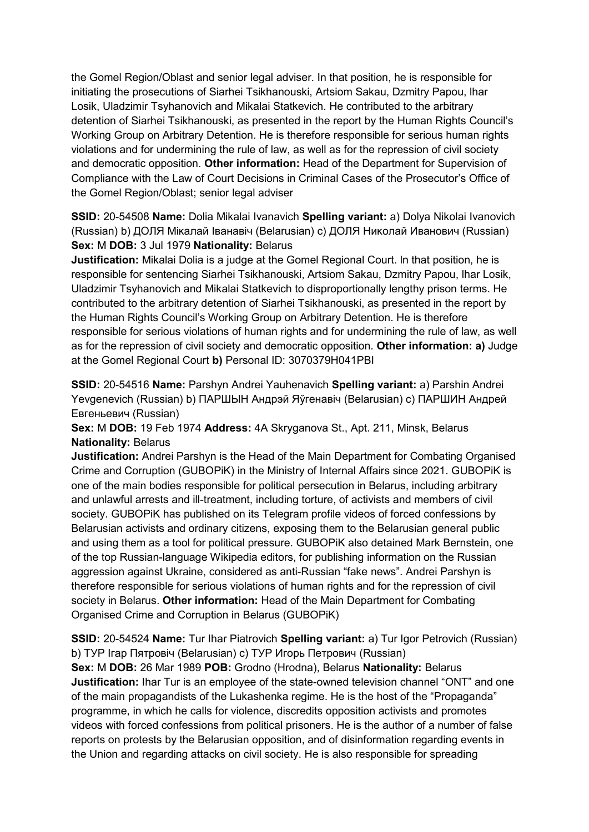the Gomel Region/Oblast and senior legal adviser. In that position, he is responsible for initiating the prosecutions of Siarhei Tsikhanouski, Artsiom Sakau, Dzmitry Papou, lhar Losik, Uladzimir Tsyhanovich and Mikalai Statkevich. He contributed to the arbitrary detention of Siarhei Tsikhanouski, as presented in the report by the Human Rights Council's Working Group on Arbitrary Detention. He is therefore responsible for serious human rights violations and for undermining the rule of law, as well as for the repression of civil society and democratic opposition. **Other information:** Head of the Department for Supervision of Compliance with the Law of Court Decisions in Criminal Cases of the Prosecutor's Office of the Gomel Region/Oblast; senior legal adviser

**SSID:** 20-54508 **Name:** Dolia Mikalai Ivanavich **Spelling variant:** a) Dolya Nikolai Ivanovich (Russian) b) ДОЛЯ Мiĸалай Iванавiч (Belarusian) c) ДОЛЯ Ниĸолай Иванович (Russian) **Sex:** M **DOB:** 3 Jul 1979 **Nationality:** Belarus

**Justification:** Mikalai Dolia is a judge at the Gomel Regional Court. ln that position, he is responsible for sentencing Siarhei Tsikhanouski, Artsiom Sakau, Dzmitry Papou, lhar Losik, Uladzimir Tsyhanovich and Mikalai Statkevich to disproportionally lengthy prison terms. He contributed to the arbitrary detention of Siarhei Tsikhanouski, as presented in the report by the Human Rights Council's Working Group on Arbitrary Detention. He is therefore responsible for serious violations of human rights and for undermining the rule of law, as well as for the repression of civil society and democratic opposition. **Other information: a)** Judge at the Gomel Regional Court **b)** Personal ID: 3070379H041PBI

**SSID:** 20-54516 **Name:** Parshyn Andrei Yauhenavich **Spelling variant:** a) Parshin Andrei Yevgenevich (Russian) b) ПАРШЫН Андрэй Яўгенавiч (Belarusian) c) ПАРШИН Андрей Евгеньевич (Russian)

**Sex:** M **DOB:** 19 Feb 1974 **Address:** 4A Skryganova St., Apt. 211, Minsk, Belarus **Nationality:** Belarus

**Justification:** Andrei Parshyn is the Head of the Main Department for Combating Organised Crime and Corruption (GUBOPiK) in the Ministry of Internal Affairs since 2021. GUBOPiK is one of the main bodies responsible for political persecution in Belarus, including arbitrary and unlawful arrests and ill-treatment, including torture, of activists and members of civil society. GUBOPiK has published on its Telegram profile videos of forced confessions by Belarusian activists and ordinary citizens, exposing them to the Belarusian general public and using them as a tool for political pressure. GUBOPiK also detained Mark Bernstein, one of the top Russian-language Wikipedia editors, for publishing information on the Russian aggression against Ukraine, considered as anti-Russian "fake news". Andrei Parshyn is therefore responsible for serious violations of human rights and for the repression of civil society in Belarus. **Other information:** Head of the Main Department for Combating Organised Crime and Corruption in Belarus (GUBOPiK)

**SSID:** 20-54524 **Name:** Tur Ihar Piatrovich **Spelling variant:** a) Tur Igor Petrovich (Russian) b) ТУР Iгар Пятровiч (Belarusian) c) ТУР Игорь Петрович (Russian) **Sex:** M **DOB:** 26 Mar 1989 **POB:** Grodno (Hrodna), Belarus **Nationality:** Belarus **Justification:** Ihar Tur is an employee of the state-owned television channel "ONT" and one of the main propagandists of the Lukashenka regime. He is the host of the "Propaganda" programme, in which he calls for violence, discredits opposition activists and promotes videos with forced confessions from political prisoners. He is the author of a number of false reports on protests by the Belarusian opposition, and of disinformation regarding events in the Union and regarding attacks on civil society. He is also responsible for spreading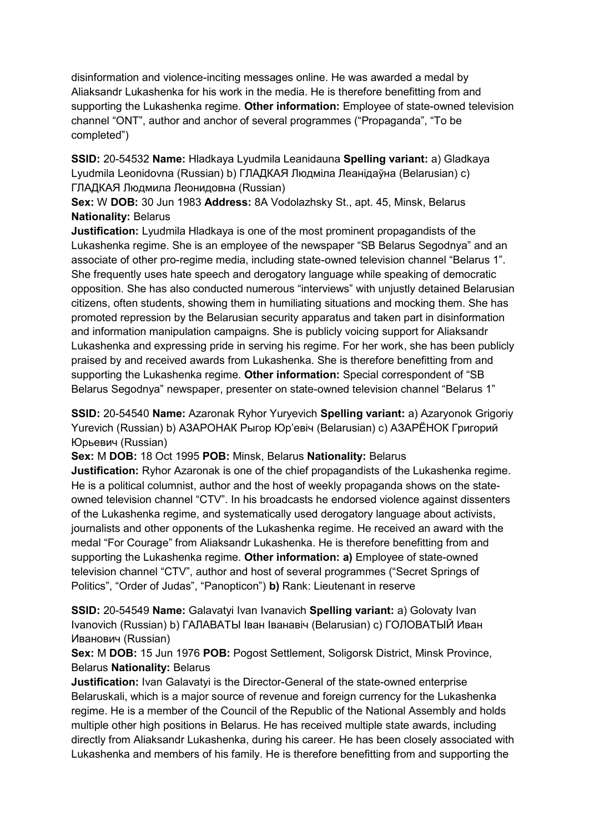disinformation and violence-inciting messages online. He was awarded a medal by Aliaksandr Lukashenka for his work in the media. He is therefore benefitting from and supporting the Lukashenka regime. **Other information:** Employee of state-owned television channel "ONT", author and anchor of several programmes ("Propaganda", "To be completed")

**SSID:** 20-54532 **Name:** Hladkaya Lyudmila Leanidauna **Spelling variant:** a) Gladkaya Lyudmila Leonidovna (Russian) b) ГЛАДКАЯ Людмiла Леанiдаўна (Belarusian) c) ГЛАДКАЯ Людмила Леонидовна (Russian)

**Sex:** W **DOB:** 30 Jun 1983 **Address:** 8A Vodolazhsky St., apt. 45, Minsk, Belarus **Nationality:** Belarus

**Justification:** Lyudmila Hladkaya is one of the most prominent propagandists of the Lukashenka regime. She is an employee of the newspaper "SB Belarus Segodnya" and an associate of other pro-regime media, including state-owned television channel "Belarus 1". She frequently uses hate speech and derogatory language while speaking of democratic opposition. She has also conducted numerous "interviews" with unjustly detained Belarusian citizens, often students, showing them in humiliating situations and mocking them. She has promoted repression by the Belarusian security apparatus and taken part in disinformation and information manipulation campaigns. She is publicly voicing support for Aliaksandr Lukashenka and expressing pride in serving his regime. For her work, she has been publicly praised by and received awards from Lukashenka. She is therefore benefitting from and supporting the Lukashenka regime. **Other information:** Special correspondent of "SB Belarus Segodnya" newspaper, presenter on state-owned television channel "Belarus 1"

**SSID:** 20-54540 **Name:** Azaronak Ryhor Yuryevich **Spelling variant:** a) Azaryonok Grigoriy Yurevich (Russian) b) АЗАРОНАК Рыгор Юр'евiч (Belarusian) c) АЗАРЁНОК Григорий Юрьевич (Russian)

**Sex:** M **DOB:** 18 Oct 1995 **POB:** Minsk, Belarus **Nationality:** Belarus

**Justification:** Ryhor Azaronak is one of the chief propagandists of the Lukashenka regime. He is a political columnist, author and the host of weekly propaganda shows on the stateowned television channel "CTV". In his broadcasts he endorsed violence against dissenters of the Lukashenka regime, and systematically used derogatory language about activists, journalists and other opponents of the Lukashenka regime. He received an award with the medal "For Courage" from Aliaksandr Lukashenka. He is therefore benefitting from and supporting the Lukashenka regime. **Other information: a)** Employee of state-owned television channel "CTV", author and host of several programmes ("Secret Springs of Politics", "Order of Judas", "Panopticon") **b)** Rank: Lieutenant in reserve

**SSID:** 20-54549 **Name:** Galavatyi Ivan Ivanavich **Spelling variant:** a) Golovaty Ivan Ivanovich (Russian) b) ГАЛАВАТЫ Iван Iванавiч (Belarusian) c) ГОЛОВАТЫЙ Иван Иванович (Russian)

**Sex:** M **DOB:** 15 Jun 1976 **POB:** Pogost Settlement, Soligorsk District, Minsk Province, Belarus **Nationality:** Belarus

**Justification:** Ivan Galavatyi is the Director-General of the state-owned enterprise Belaruskali, which is a major source of revenue and foreign currency for the Lukashenka regime. He is a member of the Council of the Republic of the National Assembly and holds multiple other high positions in Belarus. He has received multiple state awards, including directly from Aliaksandr Lukashenka, during his career. He has been closely associated with Lukashenka and members of his family. He is therefore benefitting from and supporting the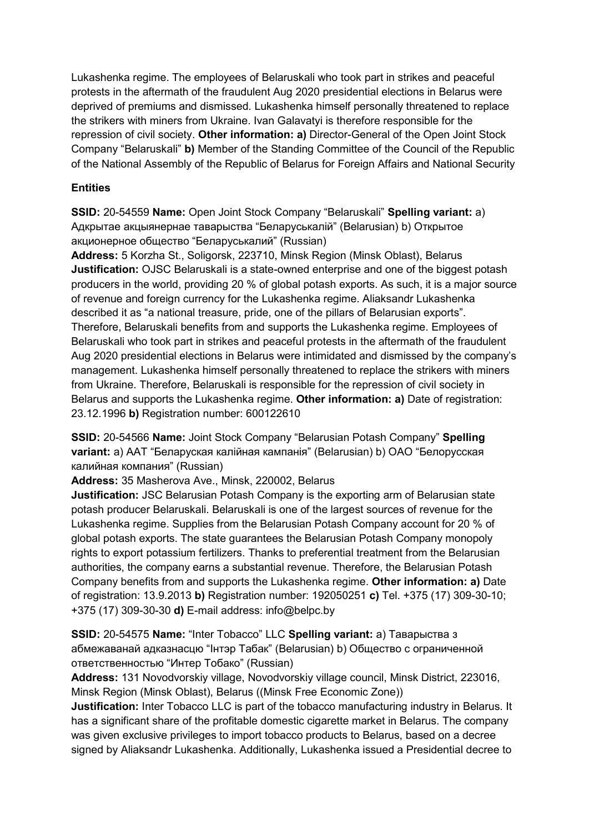Lukashenka regime. The employees of Belaruskali who took part in strikes and peaceful protests in the aftermath of the fraudulent Aug 2020 presidential elections in Belarus were deprived of premiums and dismissed. Lukashenka himself personally threatened to replace the strikers with miners from Ukraine. Ivan Galavatyi is therefore responsible for the repression of civil society. **Other information: a)** Director-General of the Open Joint Stock Company "Belaruskali" **b)** Member of the Standing Committee of the Council of the Republic of the National Assembly of the Republic of Belarus for Foreign Affairs and National Security

#### **Entities**

**SSID:** 20-54559 **Name:** Open Joint Stock Company "Belaruskali" **Spelling variant:** a) Адкрытае акцыянернае таварыства "Беларуськалiй" (Belarusian) b) Открытое акционерное общество "Беларуськалий" (Russian)

**Address:** 5 Korzha St., Soligorsk, 223710, Minsk Region (Minsk Oblast), Belarus **Justification:** OJSC Belaruskali is a state-owned enterprise and one of the biggest potash producers in the world, providing 20 % of global potash exports. As such, it is a major source of revenue and foreign currency for the Lukashenka regime. Aliaksandr Lukashenka described it as "a national treasure, pride, one of the pillars of Belarusian exports". Therefore, Belaruskali benefits from and supports the Lukashenka regime. Employees of Belaruskali who took part in strikes and peaceful protests in the aftermath of the fraudulent Aug 2020 presidential elections in Belarus were intimidated and dismissed by the company's management. Lukashenka himself personally threatened to replace the strikers with miners from Ukraine. Therefore, Belaruskali is responsible for the repression of civil society in Belarus and supports the Lukashenka regime. **Other information: a)** Date of registration: 23.12.1996 **b)** Registration number: 600122610

**SSID:** 20-54566 **Name:** Joint Stock Company "Belarusian Potash Company" **Spelling variant:** a) ААТ "Беларуская калiйная кампанiя" (Belarusian) b) ОАО "Белорусская калийная компания" (Russian)

**Address:** 35 Masherova Ave., Minsk, 220002, Belarus

**Justification:** JSC Belarusian Potash Company is the exporting arm of Belarusian state potash producer Belaruskali. Belaruskali is one of the largest sources of revenue for the Lukashenka regime. Supplies from the Belarusian Potash Company account for 20 % of global potash exports. The state guarantees the Belarusian Potash Company monopoly rights to export potassium fertilizers. Thanks to preferential treatment from the Belarusian authorities, the company earns a substantial revenue. Therefore, the Belarusian Potash Company benefits from and supports the Lukashenka regime. **Other information: a)** Date of registration: 13.9.2013 **b)** Registration number: 192050251 **c)** Tel. +375 (17) 309-30-10; +375 (17) 309-30-30 **d)** E-mail address: info@belpc.by

**SSID:** 20-54575 **Name:** "Inter Tobacco" LLC **Spelling variant:** a) Таварыства з абмежаванай адказнасцю "Iнтэр Табак" (Belarusian) b) Общество с ограниченной ответственностью "Интер Тобако" (Russian)

**Address:** 131 Novodvorskiy village, Novodvorskiy village council, Minsk District, 223016, Minsk Region (Minsk Oblast), Belarus ((Minsk Free Economic Zone))

**Justification:** Inter Tobacco LLC is part of the tobacco manufacturing industry in Belarus. It has a significant share of the profitable domestic cigarette market in Belarus. The company was given exclusive privileges to import tobacco products to Belarus, based on a decree signed by Aliaksandr Lukashenka. Additionally, Lukashenka issued a Presidential decree to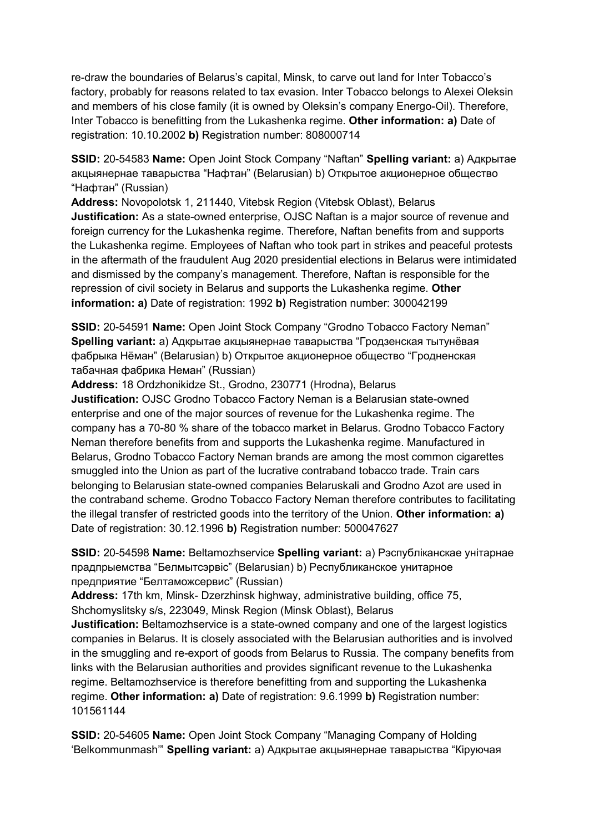re-draw the boundaries of Belarus's capital, Minsk, to carve out land for Inter Tobacco's factory, probably for reasons related to tax evasion. Inter Tobacco belongs to Alexei Oleksin and members of his close family (it is owned by Oleksin's company Energo-Oil). Therefore, Inter Tobacco is benefitting from the Lukashenka regime. **Other information: a)** Date of registration: 10.10.2002 **b)** Registration number: 808000714

**SSID:** 20-54583 **Name:** Open Joint Stock Company "Naftan" **Spelling variant:** a) Адкрытае акцыянернае таварыства "Нафтан" (Belarusian) b) Открытое акционерное общество "Нафтан" (Russian)

**Address:** Novopolotsk 1, 211440, Vitebsk Region (Vitebsk Oblast), Belarus **Justification:** As a state-owned enterprise, OJSC Naftan is a major source of revenue and foreign currency for the Lukashenka regime. Therefore, Naftan benefits from and supports the Lukashenka regime. Employees of Naftan who took part in strikes and peaceful protests in the aftermath of the fraudulent Aug 2020 presidential elections in Belarus were intimidated and dismissed by the company's management. Therefore, Naftan is responsible for the repression of civil society in Belarus and supports the Lukashenka regime. **Other information: a)** Date of registration: 1992 **b)** Registration number: 300042199

**SSID:** 20-54591 **Name:** Open Joint Stock Company "Grodno Tobacco Factory Neman" **Spelling variant:** a) Адкрытае акцыянернае таварыства "Гродзенская тытунёвая фабрыка Нёман" (Belarusian) b) Oткрытое акционерное общество "Гродненская табачная фабрика Неман" (Russian)

**Address:** 18 Ordzhonikidze St., Grodno, 230771 (Hrodna), Belarus **Justification:** OJSC Grodno Tobacco Factory Neman is a Belarusian state-owned enterprise and one of the major sources of revenue for the Lukashenka regime. The company has a 70-80 % share of the tobacco market in Belarus. Grodno Tobacco Factory Neman therefore benefits from and supports the Lukashenka regime. Manufactured in Belarus, Grodno Tobacco Factory Neman brands are among the most common cigarettes smuggled into the Union as part of the lucrative contraband tobacco trade. Train cars belonging to Belarusian state-owned companies Belaruskali and Grodno Azot are used in the contraband scheme. Grodno Tobacco Factory Neman therefore contributes to facilitating the illegal transfer of restricted goods into the territory of the Union. **Other information: a)**  Date of registration: 30.12.1996 **b)** Registration number: 500047627

**SSID:** 20-54598 **Name:** Beltamozhservice **Spelling variant:** a) Рэспублiканскае унiтарнае прадпрыемства "Белмытсэрвiс" (Belarusian) b) Республиканское унитарное предприятие "Белтаможсервис" (Russian)

**Address:** 17th km, Minsk- Dzerzhinsk highway, administrative building, office 75, Shchomyslitsky s/s, 223049, Minsk Region (Minsk Oblast), Belarus

**Justification:** Beltamozhservice is a state-owned company and one of the largest logistics companies in Belarus. It is closely associated with the Belarusian authorities and is involved in the smuggling and re-export of goods from Belarus to Russia. The company benefits from links with the Belarusian authorities and provides significant revenue to the Lukashenka regime. Beltamozhservice is therefore benefitting from and supporting the Lukashenka regime. **Other information: a)** Date of registration: 9.6.1999 **b)** Registration number: 101561144

**SSID:** 20-54605 **Name:** Open Joint Stock Company "Managing Company of Holding 'Belkommunmash'" **Spelling variant:** a) Адкрытае акцыянернае таварыства "Кiруючая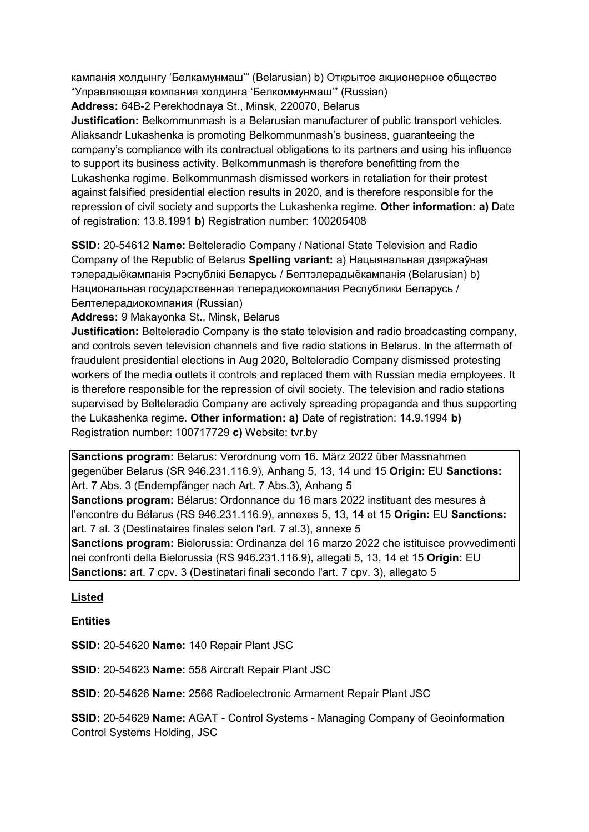кампанiя холдынгу 'Белкамунмаш'" (Belarusian) b) Открытое акционерное общество "Управляющая компания холдинга 'Белкоммунмаш'" (Russian)

**Address:** 64B-2 Perekhodnaya St., Minsk, 220070, Belarus

**Justification:** Belkommunmash is a Belarusian manufacturer of public transport vehicles. Aliaksandr Lukashenka is promoting Belkommunmash's business, guaranteeing the company's compliance with its contractual obligations to its partners and using his influence to support its business activity. Belkommunmash is therefore benefitting from the Lukashenka regime. Belkommunmash dismissed workers in retaliation for their protest against falsified presidential election results in 2020, and is therefore responsible for the repression of civil society and supports the Lukashenka regime. **Other information: a)** Date of registration: 13.8.1991 **b)** Registration number: 100205408

**SSID:** 20-54612 **Name:** Belteleradio Company / National State Television and Radio Company of the Republic of Belarus **Spelling variant:** a) Нацыянальная дзяржаўная тэлерадыёкампанiя Рэспублiкi Беларусь / Белтэлерадыёкампанiя (Belarusian) b) Национальная государственная телерадиокомпания Республики Беларусь / Белтелерадиокомпания (Russian)

**Address:** 9 Makayonka St., Minsk, Belarus

**Justification:** Belteleradio Company is the state television and radio broadcasting company, and controls seven television channels and five radio stations in Belarus. In the aftermath of fraudulent presidential elections in Aug 2020, Belteleradio Company dismissed protesting workers of the media outlets it controls and replaced them with Russian media employees. It is therefore responsible for the repression of civil society. The television and radio stations supervised by Belteleradio Company are actively spreading propaganda and thus supporting the Lukashenka regime. **Other information: a)** Date of registration: 14.9.1994 **b)**  Registration number: 100717729 **c)** Website: tvr.by

**Sanctions program:** Belarus: Verordnung vom 16. März 2022 über Massnahmen gegenüber Belarus (SR 946.231.116.9), Anhang 5, 13, 14 und 15 **Origin:** EU **Sanctions:** Art. 7 Abs. 3 (Endempfänger nach Art. 7 Abs.3), Anhang 5

**Sanctions program:** Bélarus: Ordonnance du 16 mars 2022 instituant des mesures à l'encontre du Bélarus (RS 946.231.116.9), annexes 5, 13, 14 et 15 **Origin:** EU **Sanctions:** art. 7 al. 3 (Destinataires finales selon l'art. 7 al.3), annexe 5

**Sanctions program:** Bielorussia: Ordinanza del 16 marzo 2022 che istituisce provvedimenti nei confronti della Bielorussia (RS 946.231.116.9), allegati 5, 13, 14 et 15 **Origin:** EU **Sanctions:** art. 7 cpv. 3 (Destinatari finali secondo l'art. 7 cpv. 3), allegato 5

# **Listed**

**Entities**

**SSID:** 20-54620 **Name:** 140 Repair Plant JSC

**SSID:** 20-54623 **Name:** 558 Aircraft Repair Plant JSC

**SSID:** 20-54626 **Name:** 2566 Radioelectronic Armament Repair Plant JSC

**SSID:** 20-54629 **Name:** AGAT - Control Systems - Managing Company of Geoinformation Control Systems Holding, JSC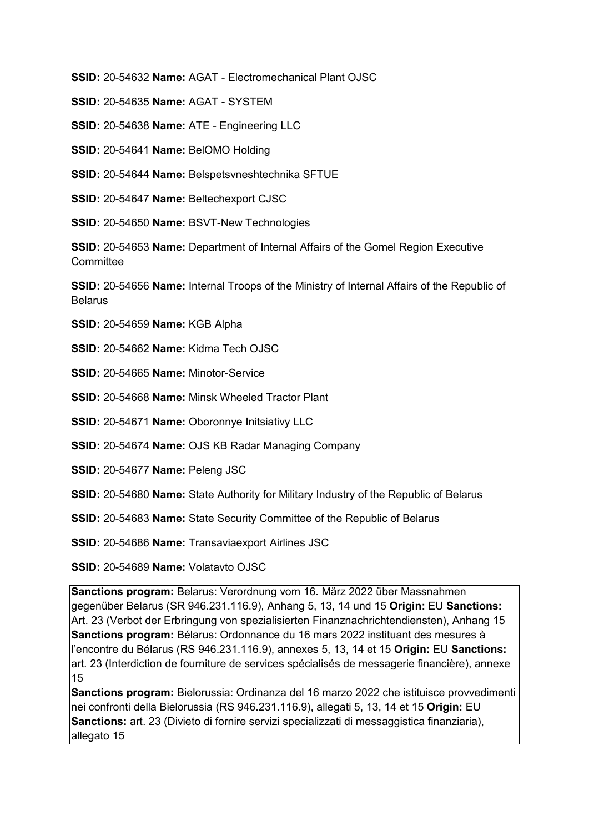**SSID:** 20-54632 **Name:** AGAT - Electromechanical Plant OJSC

**SSID:** 20-54635 **Name:** AGAT - SYSTEM

**SSID:** 20-54638 **Name:** ATE - Engineering LLC

**SSID:** 20-54641 **Name:** BelOMO Holding

**SSID:** 20-54644 **Name:** Belspetsvneshtechnika SFTUE

**SSID:** 20-54647 **Name:** Beltechexport CJSC

**SSID:** 20-54650 **Name:** BSVT-New Technologies

**SSID:** 20-54653 **Name:** Department of Internal Affairs of the Gomel Region Executive **Committee** 

**SSID:** 20-54656 **Name:** Internal Troops of the Ministry of Internal Affairs of the Republic of **Belarus** 

**SSID:** 20-54659 **Name:** KGB Alpha

**SSID:** 20-54662 **Name:** Kidma Tech OJSC

**SSID:** 20-54665 **Name:** Minotor-Service

**SSID:** 20-54668 **Name:** Minsk Wheeled Tractor Plant

**SSID:** 20-54671 **Name:** Oboronnye Initsiativy LLC

**SSID:** 20-54674 **Name:** OJS KB Radar Managing Company

**SSID:** 20-54677 **Name:** Peleng JSC

**SSID:** 20-54680 **Name:** State Authority for Military Industry of the Republic of Belarus

**SSID:** 20-54683 **Name:** State Security Committee of the Republic of Belarus

**SSID:** 20-54686 **Name:** Transaviaexport Airlines JSC

**SSID:** 20-54689 **Name:** Volatavto OJSC

**Sanctions program:** Belarus: Verordnung vom 16. März 2022 über Massnahmen gegenüber Belarus (SR 946.231.116.9), Anhang 5, 13, 14 und 15 **Origin:** EU **Sanctions:** Art. 23 (Verbot der Erbringung von spezialisierten Finanznachrichtendiensten), Anhang 15 **Sanctions program:** Bélarus: Ordonnance du 16 mars 2022 instituant des mesures à l'encontre du Bélarus (RS 946.231.116.9), annexes 5, 13, 14 et 15 **Origin:** EU **Sanctions:** art. 23 (Interdiction de fourniture de services spécialisés de messagerie financière), annexe 15

**Sanctions program:** Bielorussia: Ordinanza del 16 marzo 2022 che istituisce provvedimenti nei confronti della Bielorussia (RS 946.231.116.9), allegati 5, 13, 14 et 15 **Origin:** EU **Sanctions:** art. 23 (Divieto di fornire servizi specializzati di messaggistica finanziaria), allegato 15